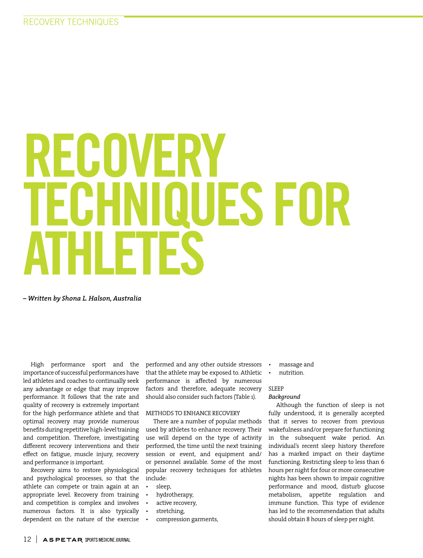# RECOVERY TECHNIQUES FOR ATHLETES

*– Written by Shona L. Halson, Australia*

High performance sport and the importance of successful performances have led athletes and coaches to continually seek any advantage or edge that may improve performance. It follows that the rate and quality of recovery is extremely important for the high performance athlete and that optimal recovery may provide numerous benefits during repetitive high-level training and competition. Therefore, investigating different recovery interventions and their effect on fatigue, muscle injury, recovery and performance is important.

Recovery aims to restore physiological and psychological processes, so that the athlete can compete or train again at an appropriate level. Recovery from training and competition is complex and involves numerous factors. It is also typically dependent on the nature of the exercise

performed and any other outside stressors that the athlete may be exposed to. Athletic performance is affected by numerous factors and therefore, adequate recovery should also consider such factors (Table 1).

# METHODS TO ENHANCE RECOVERY

There are a number of popular methods used by athletes to enhance recovery. Their use will depend on the type of activity performed, the time until the next training session or event, and equipment and/ or personnel available. Some of the most popular recovery techniques for athletes include:

- sleep,
- hydrotherapy,
- active recovery,
- stretching,
- compression garments,
- massage and
- nutrition.

# SLEEP

# *Background*

Although the function of sleep is not fully understood, it is generally accepted that it serves to recover from previous wakefulness and/or prepare for functioning in the subsequent wake period. An individual's recent sleep history therefore has a marked impact on their daytime functioning. Restricting sleep to less than 6 hours per night for four or more consecutive nights has been shown to impair cognitive performance and mood, disturb glucose metabolism, appetite regulation and immune function. This type of evidence has led to the recommendation that adults should obtain 8 hours of sleep per night.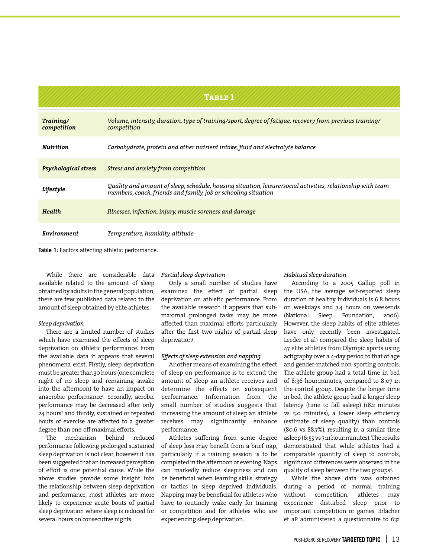| TABLE 1                     |                                                                                                                                                                               |
|-----------------------------|-------------------------------------------------------------------------------------------------------------------------------------------------------------------------------|
| Training/<br>competition    | Volume, intensity, duration, type of training/sport, degree of fatigue, recovery from previous training/<br>competition                                                       |
| <b>Nutrition</b>            | Carbohydrate, protein and other nutrient intake, fluid and electrolyte balance                                                                                                |
| <b>Psychological stress</b> | Stress and anxiety from competition                                                                                                                                           |
| Lifestyle                   | Quality and amount of sleep, schedule, housing situation, leisure/social activities, relationship with team<br>members, coach, friends and family, job or schooling situation |
| Health                      | Illnesses, infection, injury, muscle soreness and damage                                                                                                                      |
| Environment                 | Temperature, humidity, altitude                                                                                                                                               |

**Table 1:** Factors affecting athletic performance.

While there are considerable data available related to the amount of sleep obtained by adults in the general population, there are few published data related to the amount of sleep obtained by elite athletes.

# *Sleep deprivation*

There are a limited number of studies which have examined the effects of sleep deprivation on athletic performance. From the available data it appears that several phenomena exist. Firstly, sleep deprivation must be greater than 30 hours (one complete night of no sleep and remaining awake into the afternoon) to have an impact on anaerobic performance<sup>1</sup>. Secondly, aerobic performance may be decreased after only 24 hours<sup>2</sup> and thirdly, sustained or repeated bouts of exercise are affected to a greater degree than one-off maximal efforts.

The mechanism behind reduced performance following prolonged sustained sleep deprivation is not clear, however it has been suggested that an increased perception of effort is one potential cause. While the above studies provide some insight into the relationship between sleep deprivation and performance, most athletes are more likely to experience acute bouts of partial sleep deprivation where sleep is reduced for several hours on consecutive nights.

## *Partial sleep deprivation*

Only a small number of studies have examined the effect of partial sleep deprivation on athletic performance. From the available research it appears that submaximal prolonged tasks may be more affected than maximal efforts particularly after the first two nights of partial sleep deprivation3 .

## *Effects of sleep extension and napping*

Another means of examining the effect of sleep on performance is to extend the amount of sleep an athlete receives and determine the effects on subsequent performance. Information from the small number of studies suggests that increasing the amount of sleep an athlete receives may significantly enhance performance.

Athletes suffering from some degree of sleep loss may benefit from a brief nap, particularly if a training session is to be completed in the afternoon or evening. Naps can markedly reduce sleepiness and can be beneficial when learning skills, strategy or tactics in sleep deprived individuals. Napping may be beneficial for athletes who have to routinely wake early for training or competition and for athletes who are experiencing sleep deprivation.

# *Habitual sleep duration*

According to a 2005 Gallup poll in the USA, the average self-reported sleep duration of healthy individuals is 6.8 hours on weekdays and 7.4 hours on weekends (National Sleep Foundation, 2006). However, the sleep habits of elite athletes have only recently been investigated. Leeder et al4 compared the sleep habits of 47 elite athletes from Olympic sports using actigraphy over a 4-day period to that of age and gender-matched non-sporting controls. The athlete group had a total time in bed of 8:36 hour:minutes, compared to 8:07 in the control group. Despite the longer time in bed, the athlete group had a longer sleep latency (time to fall asleep) (18.2 minutes vs 5.0 minutes), a lower sleep efficiency (estimate of sleep quality) than controls (80.6 vs 88.7%), resulting in a similar time asleep (6:55 vs 7:11 hour:minutes). The results demonstrated that while athletes had a comparable quantity of sleep to controls, significant differences were observed in the quality of sleep between the two groups<sup>4</sup>.

While the above data was obtained during a period of normal training without competition, athletes may experience disturbed sleep prior to important competition or games. Erlacher et al<sup>5</sup> administered a questionnaire to 632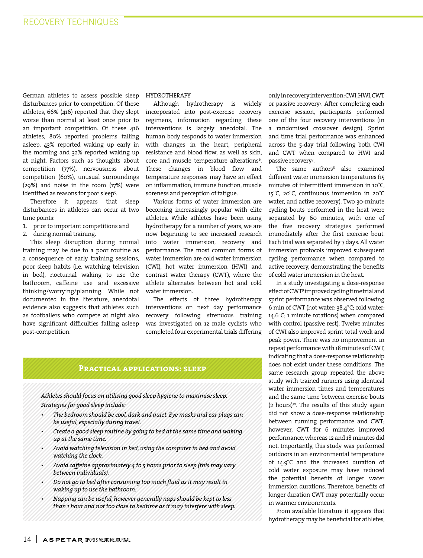German athletes to assess possible sleep disturbances prior to competition. Of these athletes, 66% (416) reported that they slept worse than normal at least once prior to an important competition. Of these 416 athletes, 80% reported problems falling asleep, 43% reported waking up early in the morning and 32% reported waking up at night. Factors such as thoughts about competition (77%), nervousness about competition (60%), unusual surroundings (29%) and noise in the room (17%) were identified as reasons for poor sleep<sup>5</sup>.

Therefore it appears that sleep disturbances in athletes can occur at two time points:

1. prior to important competitions and

2. during normal training.

This sleep disruption during normal training may be due to a poor routine as a consequence of early training sessions, poor sleep habits (i.e. watching television in bed), nocturnal waking to use the bathroom, caffeine use and excessive thinking/worrying/planning. While not documented in the literature, anecdotal evidence also suggests that athletes such as footballers who compete at night also have significant difficulties falling asleep post-competition.

# HYDROTHERAPY

Although hydrotherapy is widely incorporated into post-exercise recovery regimens, information regarding these interventions is largely anecdotal. The human body responds to water immersion with changes in the heart, peripheral resistance and blood flow, as well as skin, core and muscle temperature alterations<sup>6</sup>. These changes in blood flow and temperature responses may have an effect on inflammation, immune function, muscle soreness and perception of fatigue.

Various forms of water immersion are becoming increasingly popular with elite athletes. While athletes have been using hydrotherapy for a number of years, we are now beginning to see increased research into water immersion, recovery and performance. The most common forms of water immersion are cold water immersion (CWI), hot water immersion (HWI) and contrast water therapy (CWT), where the athlete alternates between hot and cold water immersion.

The effects of three hydrotherapy interventions on next day performance recovery following strenuous training was investigated on 12 male cyclists who completed four experimental trials differing

# **Practical applications: sleep**

*Athletes should focus on utilising good sleep hygiene to maximise sleep. Strategies for good sleep include:*

- *The bedroom should be cool, dark and quiet. Eye masks and ear plugs can be useful, especially during travel.*
- *Create a good sleep routine by going to bed at the same time and waking up at the same time.*
- *Avoid watching television in bed, using the computer in bed and avoid watching the clock.*
- *Avoid caffeine approximately 4 to 5 hours prior to sleep (this may vary between individuals).*
- *Do not go to bed after consuming too much fluid as it may result in waking up to use the bathroom.*
- *Napping can be useful, however generally naps should be kept to less than 1 hour and not too close to bedtime as it may interfere with sleep.*

only in recovery intervention: CWI, HWI, CWT or passive recovery7 . After completing each exercise session, participants performed one of the four recovery interventions (in a randomised crossover design). Sprint and time trial performance was enhanced across the 5-day trial following both CWI and CWT when compared to HWI and passive recovery7 .

The same authors<sup>8</sup> also examined different water immersion temperatures (15 minutes of intermittent immersion in 10°C, 15°C, 20°C, continuous immersion in 20°C water, and active recovery). Two 30-minute cycling bouts performed in the heat were separated by 60 minutes, with one of the five recovery strategies performed immediately after the first exercise bout. Each trial was separated by 7 days. All water immersion protocols improved subsequent cycling performance when compared to active recovery, demonstrating the benefits of cold water immersion in the heat.

In a study investigating a dose-response effect of CWT9 improved cycling time trial and sprint performance was observed following 6 min of CWT (hot water: 38.4°C; cold water: 14.6°C; 1 minute rotations) when compared with control (passive rest). Twelve minutes of CWI also improved sprint total work and peak power. There was no improvement in repeat performance with 18 minutes of CWT, indicating that a dose-response relationship does not exist under these conditions. The same research group repeated the above study with trained runners using identical water immersion times and temperatures and the same time between exercise bouts  $(2 \text{ hours})^{10}$ . The results of this study again did not show a dose-response relationship between running performance and CWT; however, CWT for 6 minutes improved performance, whereas 12 and 18 minutes did not. Importantly, this study was performed outdoors in an environmental temperature of 14.9°C and the increased duration of cold water exposure may have reduced the potential benefits of longer water immersion durations. Therefore, benefits of longer duration CWT may potentially occur in warmer environments.

From available literature it appears that hydrotherapy may be beneficial for athletes,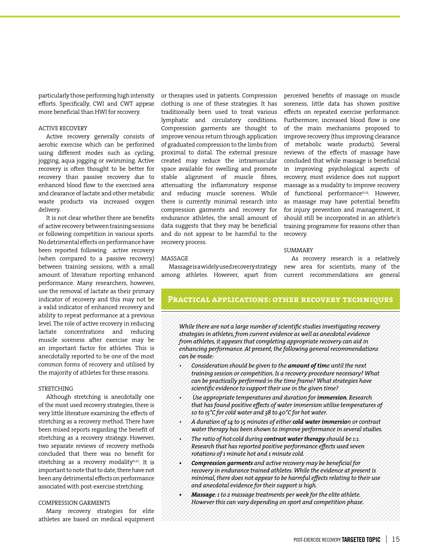particularly those performing high intensity efforts. Specifically, CWI and CWT appear more beneficial than HWI for recovery.

# ACTIVE RECOVERY

Active recovery generally consists of aerobic exercise which can be performed using different modes such as cycling, jogging, aqua jogging or swimming. Active recovery is often thought to be better for recovery than passive recovery due to enhanced blood flow to the exercised area and clearance of lactate and other metabolic waste products via increased oxygen delivery.

It is not clear whether there are benefits of active recovery between training sessions or following competition in various sports. No detrimental effects on performance have been reported following active recovery (when compared to a passive recovery) between training sessions, with a small amount of literature reporting enhanced performance. Many researchers, however, use the removal of lactate as their primary indicator of recovery and this may not be a valid indicator of enhanced recovery and ability to repeat performance at a previous level. The role of active recovery in reducing lactate concentrations and reducing muscle soreness after exercise may be an important factor for athletes. This is anecdotally reported to be one of the most common forms of recovery and utilised by the majority of athletes for these reasons.

# **STRETCHING**

Although stretching is anecdotally one of the most used recovery strategies, there is very little literature examining the effects of stretching as a recovery method. There have been mixed reports regarding the benefit of stretching as a recovery strategy. However, two separate reviews of recovery methods concluded that there was no benefit for stretching as a recovery modality $11,12$ . It is important to note that to date, there have not been any detrimental effects on performance associated with post-exercise stretching.

### COMPRESSION GARMENTS

Many recovery strategies for elite athletes are based on medical equipment or therapies used in patients. Compression clothing is one of these strategies. It has traditionally been used to treat various lymphatic and circulatory conditions. Compression garments are thought to improve venous return through application of graduated compression to the limbs from proximal to distal. The external pressure created may reduce the intramuscular space available for swelling and promote stable alignment of muscle fibres, attenuating the inflammatory response and reducing muscle soreness. While there is currently minimal research into compression garments and recovery for endurance athletes, the small amount of data suggests that they may be beneficial and do not appear to be harmful to the recovery process.

MASSAGE

perceived benefits of massage on muscle soreness, little data has shown positive effects on repeated exercise performance. Furthermore, increased blood flow is one of the main mechanisms proposed to improve recovery (thus improving clearance of metabolic waste products). Several reviews of the effects of massage have concluded that while massage is beneficial in improving psychological aspects of recovery, most evidence does not support massage as a modality to improve recovery of functional performance<sup>11,13</sup>. However, as massage may have potential benefits for injury prevention and management, it should still be incorporated in an athlete's training programme for reasons other than recovery.

## SUMMARY

Massageisawidelyusedrecoverystrategy new area for scientists, many of the among athletes. However, apart from current recommendations are general As recovery research is a relatively

# **Practical applications: other recovery techniques**

*While there are not a large number of scientific studies investigating recovery strategies in athletes, from current evidence as well as anecdotal evidence from athletes, it appears that completing appropriate recovery can aid in enhancing performance. At present, the following general recommendations can be made:*

- *Consideration should be given to the amount of time until the next training session or competition. Is a recovery procedure necessary? What can be practically performed in the time frame? What strategies have scientific evidence to support their use in the given time?*
- • *Use appropriate temperatures and duration for immersion. Research that has found positive effects of water immersion utilise temperatures of 10 to 15°C for cold water and 38 to 40°C for hot water.*
- *A duration of 14 to 15 minutes of either cold water immersion or contrast water therapy has been shown to improve performance in several studies.*
- *The ratio of hot:cold during contrast water therapy should be 1:1. Research that has reported positive performance effects used seven rotations of 1 minute hot and 1 minute cold.*
- *• Compression garments and active recovery may be beneficial for recovery in endurance trained athletes. While the evidence at present is minimal, there does not appear to be harmful effects relating to their use and anecdotal evidence for their support is high.*
- *• Massage: 1 to 2 massage treatments per week for the elite athlete. However this can vary depending on sport and competition phase.*